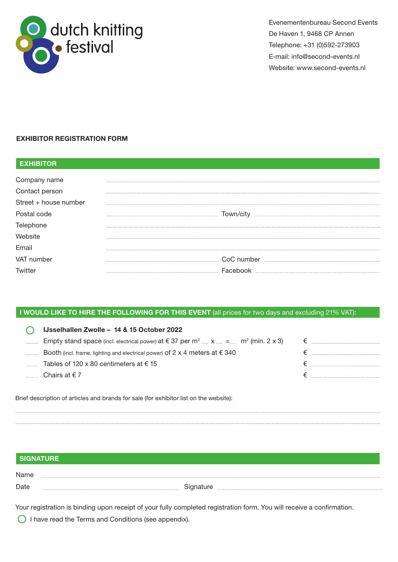

Evenementenbureau Second Events De Haven 1, 9468 CP Annen Telephone: +31 (0)592-273903 E-mail: info@second-events.nl Website: www.second-events.nl

# EXHIBITOR REGISTRATION FORM

| <b>EXHIBITOR</b>      |            |
|-----------------------|------------|
| Company name          |            |
| Contact person        |            |
| Street + house number |            |
| Postal code           | Town/city  |
| Telephone             |            |
| Website               |            |
| Email                 |            |
| VAT number            | CoC number |
| Twitter               | Facebook   |

# I WOULD LIKE TO HIRE THE FOLLOWING FOR THIS EVENT (all prices for two days and excluding 21% VAT):

| IJsselhallen Zwolle - 14 & 15 October 2022                                                                                   |  |
|------------------------------------------------------------------------------------------------------------------------------|--|
| Empty stand space (incl. electrical power) at $\epsilon$ 37 per m <sup>2</sup> ____ x ___ = ____ m <sup>2</sup> (min. 2 x 3) |  |
| Booth (incl. frame, lighting and electrical power) of 2 x 4 meters at $\epsilon$ 340                                         |  |
| Tables of 120 x 80 centimeters at $\epsilon$ 15                                                                              |  |
| Chairs at $\epsilon$ 7                                                                                                       |  |
|                                                                                                                              |  |

Brief description of articles and brands for sale (for exhibitor list on the website):

# SIGNATURE

Name Date **Contract Contract Contract Contract Contract Contract Contract Contract Contract Contract Contract Contract Contract Contract Contract Contract Contract Contract Contract Contract Contract Contract Contract Contract** 

Your registration is binding upon receipt of your fully completed registration form. You will receive a confirmation.

 $\bigcirc$  I have read the Terms and Conditions (see appendix).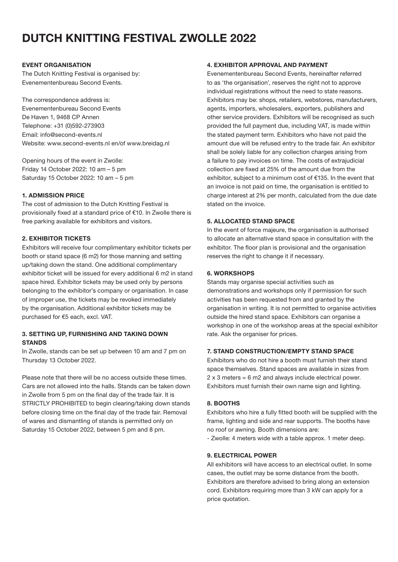# DUTCH KNITTING FESTIVAL ZWOLLE 2022

#### EVENT ORGANISATION

The Dutch Knitting Festival is organised by: Evenementenbureau Second Events.

The correspondence address is: Evenementenbureau Second Events De Haven 1, 9468 CP Annen Telephone: +31 (0)592-273903 Email: info@second-events.nl Website: www.second-events.nl en/of www.breidag.nl

Opening hours of the event in Zwolle: Friday 14 October 2022: 10 am – 5 pm Saturday 15 October 2022: 10 am – 5 pm

#### 1. ADMISSION PRICE

The cost of admission to the Dutch Knitting Festival is provisionally fixed at a standard price of €10. In Zwolle there is free parking available for exhibitors and visitors.

#### 2. EXHIBITOR TICKETS

Exhibitors will receive four complimentary exhibitor tickets per booth or stand space (6 m2) for those manning and setting up/taking down the stand. One additional complimentary exhibitor ticket will be issued for every additional 6 m2 in stand space hired. Exhibitor tickets may be used only by persons belonging to the exhibitor's company or organisation. In case of improper use, the tickets may be revoked immediately by the organisation. Additional exhibitor tickets may be purchased for €5 each, excl. VAT.

# 3. SETTING UP, FURNISHING AND TAKING DOWN **STANDS**

In Zwolle, stands can be set up between 10 am and 7 pm on Thursday 13 October 2022.

Please note that there will be no access outside these times. Cars are not allowed into the halls. Stands can be taken down in Zwolle from 5 pm on the final day of the trade fair. It is STRICTLY PROHIBITED to begin clearing/taking down stands before closing time on the final day of the trade fair. Removal of wares and dismantling of stands is permitted only on Saturday 15 October 2022, between 5 pm and 8 pm.

#### 4. EXHIBITOR APPROVAL AND PAYMENT

Evenementenbureau Second Events, hereinafter referred to as 'the organisation', reserves the right not to approve individual registrations without the need to state reasons. Exhibitors may be: shops, retailers, webstores, manufacturers, agents, importers, wholesalers, exporters, publishers and other service providers. Exhibitors will be recognised as such provided the full payment due, including VAT, is made within the stated payment term. Exhibitors who have not paid the amount due will be refused entry to the trade fair. An exhibitor shall be solely liable for any collection charges arising from a failure to pay invoices on time. The costs of extrajudicial collection are fixed at 25% of the amount due from the exhibitor, subject to a minimum cost of €135. In the event that an invoice is not paid on time, the organisation is entitled to charge interest at 2% per month, calculated from the due date stated on the invoice.

#### 5. ALLOCATED STAND SPACE

In the event of force majeure, the organisation is authorised to allocate an alternative stand space in consultation with the exhibitor. The floor plan is provisional and the organisation reserves the right to change it if necessary.

#### 6. WORKSHOPS

Stands may organise special activities such as demonstrations and workshops only if permission for such activities has been requested from and granted by the organisation in writing. It is not permitted to organise activities outside the hired stand space. Exhibitors can organise a workshop in one of the workshop areas at the special exhibitor rate. Ask the organiser for prices.

# 7. STAND CONSTRUCTION/EMPTY STAND SPACE

Exhibitors who do not hire a booth must furnish their stand space themselves. Stand spaces are available in sizes from 2 x 3 meters = 6 m2 and always include electrical power. Exhibitors must furnish their own name sign and lighting.

#### 8. BOOTHS

Exhibitors who hire a fully fitted booth will be supplied with the frame, lighting and side and rear supports. The booths have no roof or awning. Booth dimensions are:

- Zwolle: 4 meters wide with a table approx. 1 meter deep.

#### 9. ELECTRICAL POWER

All exhibitors will have access to an electrical outlet. In some cases, the outlet may be some distance from the booth. Exhibitors are therefore advised to bring along an extension cord. Exhibitors requiring more than 3 kW can apply for a price quotation.